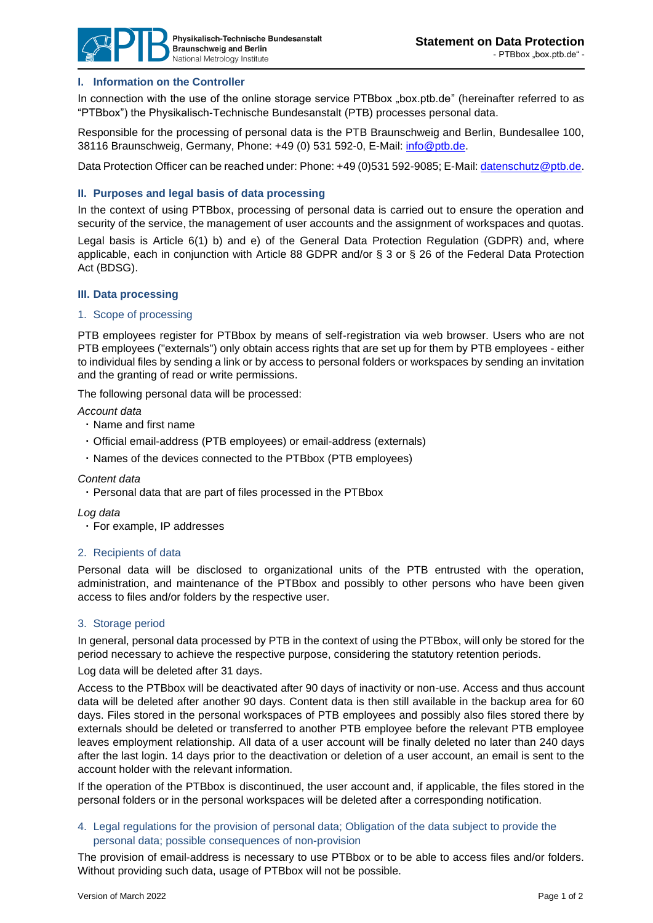

## **I. Information on the Controller**

In connection with the use of the online storage service PTBbox "box.ptb.de" (hereinafter referred to as "PTBbox") the Physikalisch-Technische Bundesanstalt (PTB) processes personal data.

Responsible for the processing of personal data is the PTB Braunschweig and Berlin, Bundesallee 100, 38116 Braunschweig, Germany, Phone: +49 (0) 531 592-0, E-Mail: [info@ptb.de.](mailto:info@ptb.de)

Data Protection Officer can be reached under: Phone: +49 (0)531 592-9085; E-Mail[: datenschutz@ptb.de.](mailto:datenschutz@ptb.de)

### **II. Purposes and legal basis of data processing**

In the context of using PTBbox, processing of personal data is carried out to ensure the operation and security of the service, the management of user accounts and the assignment of workspaces and quotas. Legal basis is Article 6(1) b) and e) of the General Data Protection Regulation (GDPR) and, where applicable, each in conjunction with Article 88 GDPR and/or § 3 or § 26 of the Federal Data Protection Act (BDSG).

### **III. Data processing**

#### 1. Scope of processing

PTB employees register for PTBbox by means of self-registration via web browser. Users who are not PTB employees ("externals") only obtain access rights that are set up for them by PTB employees - either to individual files by sending a link or by access to personal folders or workspaces by sending an invitation and the granting of read or write permissions.

The following personal data will be processed:

*Account data*

- Name and first name
- Official email-address (PTB employees) or email-address (externals)
- Names of the devices connected to the PTBbox (PTB employees)

### *Content data*

Personal data that are part of files processed in the PTBbox

*Log data*

For example, IP addresses

### 2. Recipients of data

Personal data will be disclosed to organizational units of the PTB entrusted with the operation, administration, and maintenance of the PTBbox and possibly to other persons who have been given access to files and/or folders by the respective user.

### 3. Storage period

In general, personal data processed by PTB in the context of using the PTBbox, will only be stored for the period necessary to achieve the respective purpose, considering the statutory retention periods.

Log data will be deleted after 31 days.

Access to the PTBbox will be deactivated after 90 days of inactivity or non-use. Access and thus account data will be deleted after another 90 days. Content data is then still available in the backup area for 60 days. Files stored in the personal workspaces of PTB employees and possibly also files stored there by externals should be deleted or transferred to another PTB employee before the relevant PTB employee leaves employment relationship. All data of a user account will be finally deleted no later than 240 days after the last login. 14 days prior to the deactivation or deletion of a user account, an email is sent to the account holder with the relevant information.

If the operation of the PTBbox is discontinued, the user account and, if applicable, the files stored in the personal folders or in the personal workspaces will be deleted after a corresponding notification.

4. Legal regulations for the provision of personal data; Obligation of the data subject to provide the personal data; possible consequences of non-provision

The provision of email-address is necessary to use PTBbox or to be able to access files and/or folders. Without providing such data, usage of PTBbox will not be possible.